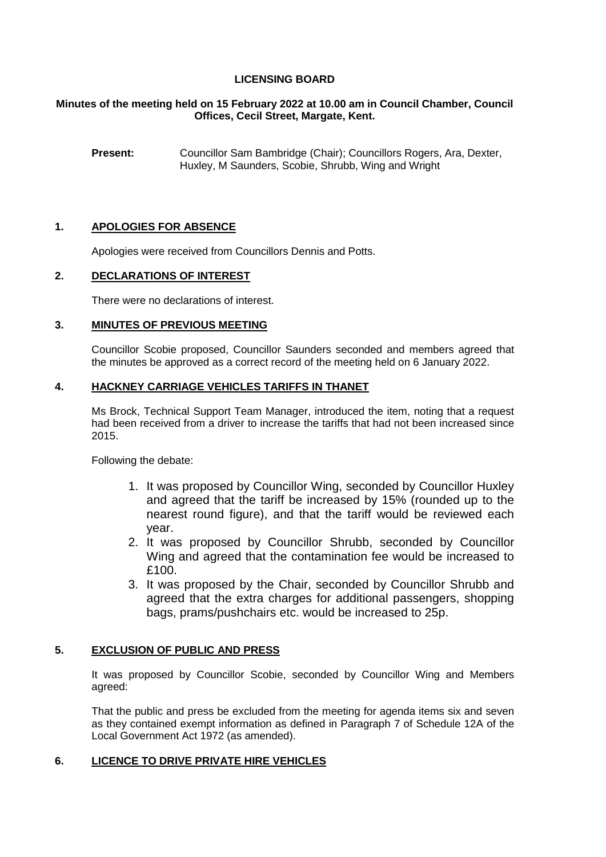# **LICENSING BOARD**

### **Minutes of the meeting held on 15 February 2022 at 10.00 am in Council Chamber, Council Offices, Cecil Street, Margate, Kent.**

**Present:** Councillor Sam Bambridge (Chair); Councillors Rogers, Ara, Dexter, Huxley, M Saunders, Scobie, Shrubb, Wing and Wright

### **1. APOLOGIES FOR ABSENCE**

Apologies were received from Councillors Dennis and Potts.

### **2. DECLARATIONS OF INTEREST**

There were no declarations of interest.

## **3. MINUTES OF PREVIOUS MEETING**

Councillor Scobie proposed, Councillor Saunders seconded and members agreed that the minutes be approved as a correct record of the meeting held on 6 January 2022.

### **4. HACKNEY CARRIAGE VEHICLES TARIFFS IN THANET**

Ms Brock, Technical Support Team Manager, introduced the item, noting that a request had been received from a driver to increase the tariffs that had not been increased since 2015.

Following the debate:

- 1. It was proposed by Councillor Wing, seconded by Councillor Huxley and agreed that the tariff be increased by 15% (rounded up to the nearest round figure), and that the tariff would be reviewed each year.
- 2. It was proposed by Councillor Shrubb, seconded by Councillor Wing and agreed that the contamination fee would be increased to £100.
- 3. It was proposed by the Chair, seconded by Councillor Shrubb and agreed that the extra charges for additional passengers, shopping bags, prams/pushchairs etc. would be increased to 25p.

### **5. EXCLUSION OF PUBLIC AND PRESS**

It was proposed by Councillor Scobie, seconded by Councillor Wing and Members agreed:

That the public and press be excluded from the meeting for agenda items six and seven as they contained exempt information as defined in Paragraph 7 of Schedule 12A of the Local Government Act 1972 (as amended).

### **6. LICENCE TO DRIVE PRIVATE HIRE VEHICLES**